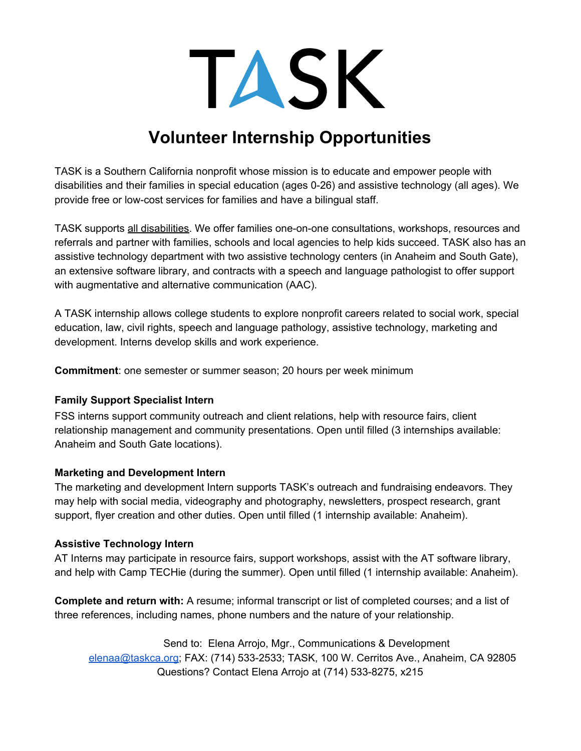TASK

# **Volunteer Internship Opportunities**

TASK is a Southern California nonprofit whose mission is to educate and empower people with disabilities and their families in special education (ages 0-26) and assistive technology (all ages). We provide free or low-cost services for families and have a bilingual staff.

TASK supports all disabilities. We offer families one-on-one consultations, workshops, resources and referrals and partner with families, schools and local agencies to help kids succeed. TASK also has an assistive technology department with two assistive technology centers (in Anaheim and South Gate), an extensive software library, and contracts with a speech and language pathologist to offer support with augmentative and alternative communication (AAC).

A TASK internship allows college students to explore nonprofit careers related to social work, special education, law, civil rights, speech and language pathology, assistive technology, marketing and development. Interns develop skills and work experience.

**Commitment**: one semester or summer season; 20 hours per week minimum

#### **Family Support Specialist Intern**

FSS interns support community outreach and client relations, help with resource fairs, client relationship management and community presentations. Open until filled (3 internships available: Anaheim and South Gate locations).

### **Marketing and Development Intern**

The marketing and development Intern supports TASK's outreach and fundraising endeavors. They may help with social media, videography and photography, newsletters, prospect research, grant support, flyer creation and other duties. Open until filled (1 internship available: Anaheim).

### **Assistive Technology Intern**

AT Interns may participate in resource fairs, support workshops, assist with the AT software library, and help with Camp TECHie (during the summer). Open until filled (1 internship available: Anaheim).

**Complete and return with:** A resume; informal transcript or list of completed courses; and a list of three references, including names, phone numbers and the nature of your relationship.

Send to: Elena Arrojo, Mgr., Communications & Development [elenaa@taskca.org](mailto:elenaa@taskca.org); FAX: (714) 533-2533; TASK, 100 W. Cerritos Ave., Anaheim, CA 92805 Questions? Contact Elena Arrojo at (714) 533-8275, x215